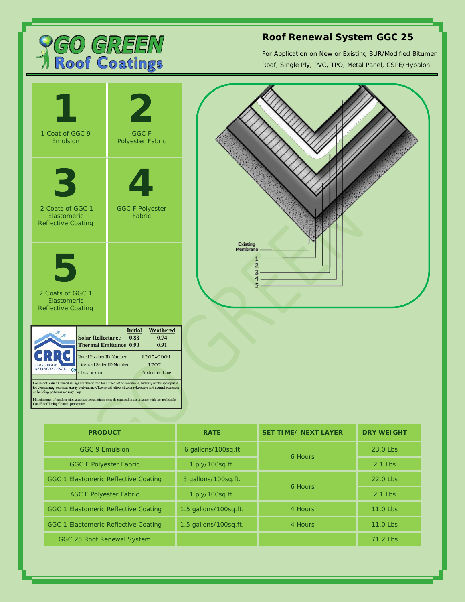

## **Roof Renewal System GGC 25**

For Application on New or Existing BUR/Modified Bitumen Roof, Single Ply, PVC, TPO, Metal Panel, CSPE/Hypalon



| <b>PRODUCT</b>                       | <b>RATE</b>           | <b>SET TIME/ NEXT LAYER</b> | <b>DRY WEIGHT</b> |
|--------------------------------------|-----------------------|-----------------------------|-------------------|
| GGC 9 Emulsion                       | 6 gallons/100sg.ft    | 6 Hours                     | 23.0 Lbs          |
| <b>GGC F Polyester Fabric</b>        | 1 ply/100sq.ft.       |                             | $2.1$ l bs        |
| GGC 1 Elastomeric Reflective Coating | 3 gallons/100sq.ft.   | 6 Hours                     | $22.0$ l bs       |
| <b>ASC F Polyester Fabric</b>        | 1 ply/100sq.ft.       |                             | $2.1$ l bs        |
| GGC 1 Elastomeric Reflective Coating | 1.5 gallons/100sg.ft. | 4 Hours                     | 11.0 Lbs          |
| GGC 1 Elastomeric Reflective Coating | 1.5 gallons/100sg.ft. | 4 Hours                     | 11.0 Lbs          |
| GGC 25 Roof Renewal System           |                       |                             | $71.2$ l bs       |